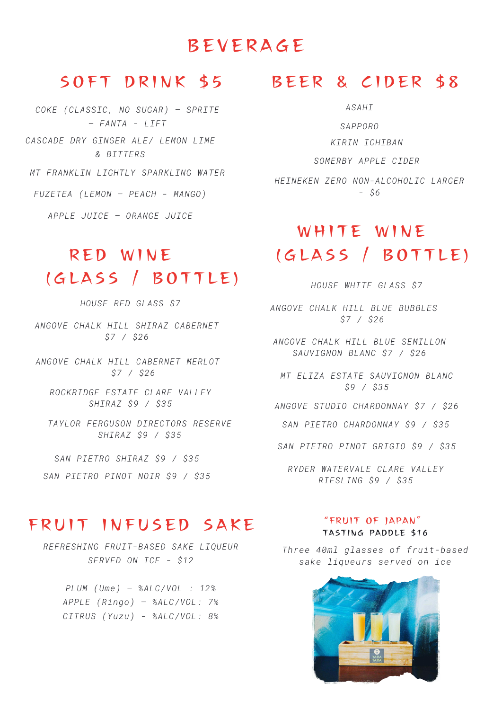# BEVERA G E

*COKE (CLASSIC, NO SUGAR) – SPRITE – FANTA - LIFT MT FRANKLIN LIGHTLY SPARKLING WATER CASCADE DRY GINGER ALE/ LEMON LIME & BITTERS FUZETEA (LEMON – PEACH - MANGO)*

*APPLE JUICE – ORANGE JUICE*

# RED W INE (GLASS / BOTTLE)

*HOUSE RED GLASS \$7*

*ANGOVE CHALK HILL SHIRAZ CABERNET \$7 / \$26*

*ANGOVE CHALK HILL CABERNET MERLOT \$7 / \$26*

*ROCKRIDGE ESTATE CLARE VALLEY SHIRAZ \$9 / \$35*

*TAYLOR FERGUSON DIRECTORS RESERVE SHIRAZ \$9 / \$35*

*SAN PIETRO SHIRAZ \$9 / \$35*

*SAN PIETRO PINOT NOIR \$9 / \$35*

## SOFT DRINK \$5 BEER & CIDER \$8

*ASAHI*

*SAPPORO KIRIN ICHIBAN*

*SOMERBY APPLE CIDER*

*HEINEKEN ZERO NON-ALCOHOLIC LARGER - \$6*

# WHITE WINE (GLASS / BOTTLE)

*HOUSE WHITE GLASS \$7*

*ANGOVE CHALK HILL BLUE BUBBLES \$7 / \$26*

*ANGOVE CHALK HILL BLUE SEMILLON SAUVIGNON BLANC \$7 / \$26*

*MT ELIZA ESTATE SAUVIGNON BLANC \$9 / \$35*

*ANGOVE STUDIO CHARDONNAY \$7 / \$26*

*SAN PIETRO CHARDONNAY \$9 / \$35*

*SAN PIETRO PINOT GRIGIO \$9 / \$35*

*RYDER WATERVALE CLARE VALLEY RIESLING \$9 / \$35*

### FRUIT INFUSED SAKE

*REFRESHING FRUIT-BASED SAKE LIQUEUR SERVED ON ICE - \$12*

*PLUM (Ume) – %ALC/VOL : 12% APPLE (Ringo) – %ALC/VOL: 7% CITRUS (Yuzu) - %ALC/VOL: 8%*

#### "FRUIT OF JAPAN" TASTING PADDLE \$16

*Three 40ml glasses of fruit-based sake liqueurs served on ice*